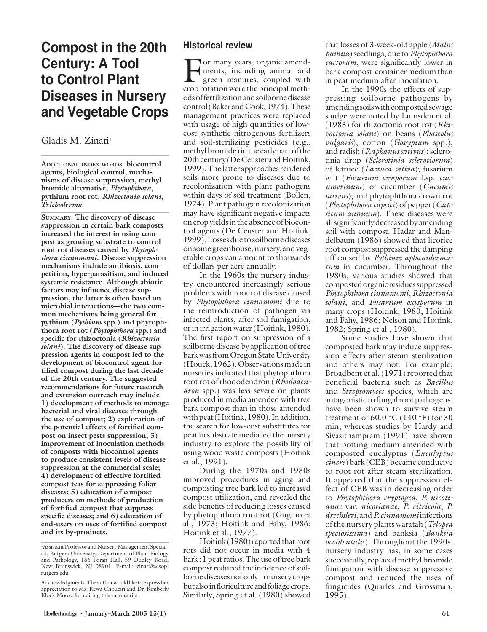# **Compost in the 20th Century: A Tool to Control Plant Diseases in Nursery and Vegetable Crops**

#### Gladis M. Zinati<sup>1</sup>

**ADDITIONAL INDEX WORDS. biocontrol agents, biological control, mechanisms of disease suppression, methyl bromide alternative,** *Phytophthora***, pythium root rot,** *Rhizoctonia solani***,**  *Trichoderma*

**SUMMARY. The discovery of disease suppression in certain bark composts increased the interest in using compost as growing substrate to control root rot diseases caused by** *Phytophthora cinnamomi***. Disease suppression mechanisms include antibiosis, competition, hyperparasitism, and induced systemic resistance. Although abiotic**  factors may influence disease sup**pression, the latter is often based on microbial interactions—the two common mechanisms being general for pythium (***Pythium* **spp.) and phytophthora root rot (***Phytophthora* **spp.) and**  specific for rhizoctonia (*Rhizoctonia solani***). The discovery of disease suppression agents in compost led to the development of biocontrol agent-for**tified compost during the last decade **of the 20th century. The suggested recommendations for future research and extension outreach may include 1) development of methods to manage bacterial and viral diseases through the use of compost; 2) exploration of**  the potential effects of fortified com**post on insect pests suppression; 3) improvement of inoculation methods of composts with biocontrol agents to produce consistent levels of disease suppression at the commercial scale; 4)** development of effective fortified **compost teas for suppressing foliar diseases; 5) education of compost producers on methods of production**  of fortified compost that suppress specific diseases; and 6) education of end-users on uses of fortified compost **and its by-products.**

## **Historical review**

For many years, organic amend-<br>ments, including animal and<br>green manures, coupled with ments, including animal and crop rotation were the principal methods of fertilization and soilborne disease control (Baker and Cook, 1974). These management practices were replaced with usage of high quantities of lowcost synthetic nitrogenous fertilizers and soil-sterilizing pesticides (e.g., methyl bromide) in the early part of the 20th century (De Ceuster and Hoitink, 1999). The latter approaches rendered soils more prone to diseases due to recolonization with plant pathogens within days of soil treatment (Bollen, 1974). Plant pathogen recolonization may have significant negative impacts on crop yields in the absence of biocontrol agents (De Ceuster and Hoitink, 1999). Losses due to soilborne diseases on some greenhouse, nursery, and vegetable crops can amount to thousands of dollars per acre annually.

In the 1960s the nursery industry encountered increasingly serious problems with root rot disease caused by *Phytophthora cinnamomi* due to the reintroduction of pathogen via infected plants, after soil fumigation, or in irrigation water (Hoitink, 1980). The first report on suppression of a soilborne disease by application of tree bark was from Oregon State University (Houck, 1962). Observations made in nurseries indicated that phytophthora root rot of rhododendron (*Rhododendron* spp.) was less severe on plants produced in media amended with tree bark compost than in those amended with peat (Hoitink, 1980). In addition, the search for low-cost substitutes for peat in substrate media led the nursery industry to explore the possibility of using wood waste composts (Hoitink et al., 1991).

During the 1970s and 1980s improved procedures in aging and composting tree bark led to increased compost utilization, and revealed the side benefits of reducing losses caused by phytophthora root rot (Gugino et al., 1973; Hoitink and Fahy, 1986; Hoitink et al., 1977).

Hoitink (1980) reported that root rots did not occur in media with 4 bark : 1 peat ratios. The use of tree bark compost reduced the incidence of soilborne diseases not only in nursery crops but also in floriculture and foliage crops. Similarly, Spring et al. (1980) showed

that losses of 3-week-old apple (*Malus pumila*) seedlings, due to *Phytophthora cactorum*, were significantly lower in bark-compost-container medium than in peat medium after inoculation.

In the 1990s the effects of suppressing soilborne pathogens by amending soils with composted sewage sludge were noted by Lumsden et al. (1983) for rhizoctonia root rot (*Rhizoctonia solani*) on beans (*Phaseolus vulgaris*), cotton (*Gossypium* spp.), and radish (*Raphanus sativus*); sclerotinia drop (*Sclerotinia sclerotiorum*) of lettuce (*Lactuca sativa*); fusarium wilt (*Fusarium oxysporum* f.sp. *cucumerinum*) of cucumber (*Cucumis sativus*); and phytophthora crown rot (*Phytophthora capsici*) of pepper (*Capsicum annuum*). These diseases were all significantly decreased by amending soil with compost. Hadar and Mandelbaum (1986) showed that licorice root compost suppressed the damping off caused by *Pythium aphanidermatum* in cucumber. Throughout the 1980s, various studies showed that composted organic residues suppressed *Phytophthora cinnamomi*, *Rhizoctonia solani*, and *Fusarium oxysporum* in many crops (Hoitink, 1980; Hoitink and Fahy, 1986; Nelson and Hoitink, 1982; Spring et al., 1980).

Some studies have shown that composted bark may induce suppression effects after steam sterilization and others may not. For example, Broadbent et al. (1971) reported that beneficial bacteria such as *Bacillus* and *Streptomyces* species, which are antagonistic to fungal root pathogens, have been shown to survive steam treatment of 60.0  $\degree$ C (140  $\degree$ F) for 30 min, whereas studies by Hardy and Sivasithampram (1991) have shown that potting medium amended with composted eucalyptus (*Eucalyptus cinere*) bark (CEB) became conducive to root rot after steam sterilization. It appeared that the suppression effect of CEB was in decreasing order to *Phytophthora cryptogea, P. nicotianae* var. *nicotianae, P. citricola*, *P. drechsleri*, and *P. cinnamomi* infections of the nursery plants waratah (*Telopea speciosissima*) and banksia (*Banksia occidentalis*). Throughout the 1990s, nursery industry has, in some cases successfully, replaced methyl bromide fumigation with disease suppressive compost and reduced the uses of fungicides (Quarles and Grossman, 1995).

<sup>1</sup> Assistant Professor and Nursery Management Specialist, Rutgers University, Department of Plant Biology and Pathology, 166 Foran Hall, 59 Dudley Road, New Brunswick, NJ 08901. E-mail: zinati@aesop. rutgers.edu

Acknowledgments.The author would like to express her appreciation to Ms. Rewa Choueiri and Dr. Kimberly Klock Moore for editing this manuscript.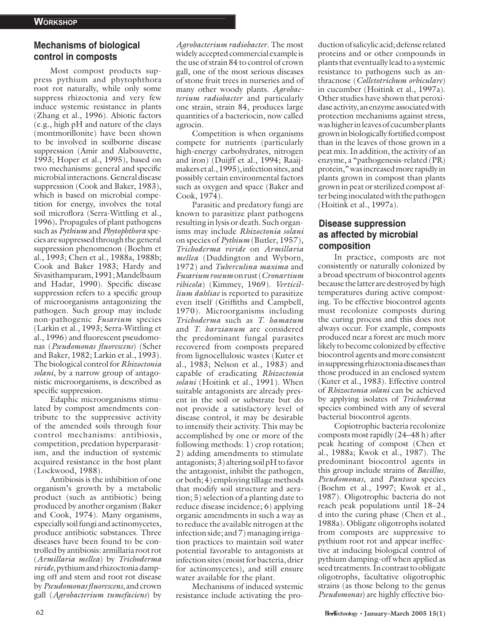# **Mechanisms of biological control in composts**

Most compost products suppress pythium and phytophthora root rot naturally, while only some suppress rhizoctonia and very few induce systemic resistance in plants (Zhang et al., 1996). Abiotic factors (e.g., high pH and nature of the clays (montmorillonite) have been shown to be involved in soilborne disease suppression (Amir and Alabouvette, 1993; Hoper et al., 1995), based on two mechanisms: general and specific microbial interactions. General disease suppression (Cook and Baker, 1983), which is based on microbial competition for energy, involves the total soil microflora (Serra-Wittling et al., 1996)**.** Propagules of plant pathogens such as *Pythium* and *Phytophthora* species are suppressed through the general suppression phenomenon (Boehm et al., 1993; Chen et al., 1988a, 1988b; Cook and Baker 1983; Hardy and Sivasithamparam, 1991; Mandelbaum and Hadar, 1990). Specific disease suppression refers to a specific group of microorganisms antagonizing the pathogen. Such group may include non-pathogenic *Fusarium* species (Larkin et al., 1993; Serra-Wittling et al., 1996) and fluorescent pseudomonas (*Pseudomonas fluorescens*) (Scher and Baker, 1982; Larkin et al., 1993). The biological control for *Rhizoctonia solani*, by a narrow group of antagonistic microorganisms, is described as specific suppression.

Edaphic microorganisms stimulated by compost amendments contribute to the suppressive activity of the amended soils through four control mechanisms: antibiosis, competition, predation hyperparasitism, and the induction of systemic acquired resistance in the host plant (Lockwood, 1988).

Antibiosis is the inhibition of one organism's growth by a metabolic product (such as antibiotic) being produced by another organism (Baker and Cook, 1974). Many organisms, especially soil fungi and actinomycetes, produce antibiotic substances. Three diseases have been found to be controlled by antibiosis: armillaria root rot (*Armillaria mellea*) by *Trichoderma viride*, pythium and rhizoctonia damping off and stem and root rot disease by *Pseudomonas fluorescens*, and crown gall (*Agrobacterium tumefaciens*) by

*Agrobacterium radiobacter*. The most widely accepted commercial example is the use of strain 84 to control of crown gall, one of the most serious diseases of stone fruit trees in nurseries and of many other woody plants. *Agrobacterium radiobacter* and particularly one strain, strain 84, produces large quantities of a bacteriocin, now called agrocin.

Competition is when organisms compete for nutrients (particularly high-energy carbohydrates, nitrogen and iron) (Duijff et al., 1994; Raaijmakers et al., 1995), infection sites, and possibly certain environmental factors such as oxygen and space (Baker and Cook, 1974).

Parasitic and predatory fungi are known to parasitize plant pathogens resulting in lysis or death. Such organisms may include *Rhizoctonia solani* on species of *Pythium* (Butler, 1957), *Trichoderma viride* on*Armillaria mellea* (Duddington and Wyborn, 1972) and *Tuberculina maxima* and  $Fusarium$  roseum on rust (*Cronartium ribicola*) (Kimmey, 1969). *Verticillium dahliae* is reported to parasitize even itself (Griffiths and Campbell, 1970). Microorganisms including *Trichoderma* such as *T. hamatum* and *T. harzianum* are considered the predominant fungal parasites recovered from composts prepared from lignocellulosic wastes (Kuter et al., 1983; Nelson et al., 1983) and capable of eradicating *Rhizoctonia solani* (Hoitink et al., 1991). When suitable antagonists are already present in the soil or substrate but do not provide a satisfactory level of disease control, it may be desirable to intensify their activity. This may be accomplished by one or more of the following methods: 1) crop rotation; 2) adding amendments to stimulate antagonists; 3) altering soil pH to favor the antagonist, inhibit the pathogen, or both; 4) employing tillage methods that modify soil structure and aeration; 5) selection of a planting date to reduce disease incidence; 6) applying organic amendments in such a way as to reduce the available nitrogen at the infection side; and 7) managing irrigation practices to maintain soil water potential favorable to antagonists at infection sites (moist for bacteria, drier for actinomycetes), and still ensure water available for the plant.

Mechanisms of induced systemic resistance include activating the production of salicylic acid; defense related proteins and or other compounds in plants that eventually lead to a systemic resistance to pathogens such as anthracnose (*Colletotrichum orbiculare*) in cucumber (Hoitink et al., 1997a). Other studies have shown that peroxidase activity, an enzyme associated with protection mechanisms against stress, was higher in leaves of cucumber plants grown in biologically for tified compost than in the leaves of those grown in a peat mix. In addition, the activity of an enzyme, a "pathogenesis-related (PR) protein," was increased more rapidly in plants grown in compost than plants grown in peat or sterilized compost after being inoculated with the pathogen (Hoitink et al., 1997a).

## **Disease suppression as affected by microbial composition**

In practice, composts are not consistently or naturally colonized by a broad spectrum of biocontrol agents because the latter are destroyed by high temperatures during active composting. To be effective biocontrol agents must recolonize composts during the curing process and this does not always occur. For example, composts produced near a forest are much more likely to become colonized by effective biocontrol agents and more consistent in suppressing rhizoctonia diseases than those produced in an enclosed system (Kuter et al., 1983). Effective control of *Rhizoctonia solani* can be achieved by applying isolates of *Trichoderma* species combined with any of several bacterial biocontrol agents.

Copiotrophic bacteria recolonize composts most rapidly (24–48 h) after peak heating of compost (Chen et al., 1988a; Kwok et al., 1987). The predominant biocontrol agents in this group include strains of *Bacillus*, *Pseudomonas*, and *Pantoea* species (Boehm et al., 1997; Kwok et al., 1987). Oligotrophic bacteria do not reach peak populations until 18–24 d into the curing phase (Chen et al., 1988a). Obligate oligotrophs isolated from composts are suppressive to pythium root rot and appear ineffective at inducing biological control of pythium damping-off when applied as seed treatments. In contrast to obligate oligotrophs, facultative oligotrophic strains (as those belong to the genus *Pseudomonas*) are highly effective bio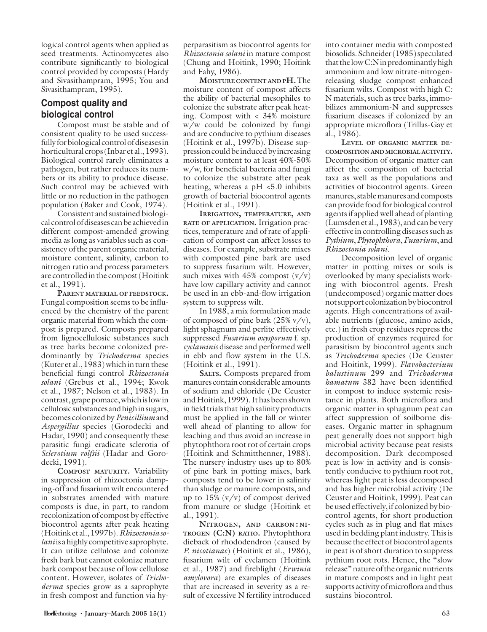logical control agents when applied as seed treatments. Actinomycetes also contribute significantly to biological control provided by composts (Hardy and Sivasithampram, 1995; You and Sivasithampram, 1995).

## **Compost quality and biological control**

Compost must be stable and of consistent quality to be used successfully for biological control of diseases in horticultural crops (Inbar et al., 1993). Biological control rarely eliminates a pathogen, but rather reduces its numbers or its ability to produce disease. Such control may be achieved with little or no reduction in the pathogen population (Baker and Cook, 1974).

Consistent and sustained biological control of diseases can be achieved in different compost-amended growing media as long as variables such as consistency of the parent organic material, moisture content, salinity, carbon to nitrogen ratio and process parameters are controlled in the compost (Hoitink et al., 1991).

**PARENT MATERIAL OF FEEDSTOCK.** Fungal composition seems to be influenced by the chemistry of the parent organic material from which the compost is prepared. Composts prepared from lignocellulosic substances such as tree barks become colonized predominantly by *Trichoderma* species (Kuter et al., 1983) which in turn these beneficial fungi control *Rhizoctonia solani* (Grebus et al., 1994; Kwok et al., 1987; Nelson et al., 1983). In contrast, grape pomace, which is low in cellulosic substances and high in sugars, becomes colonized by *Penicillium* and *Aspergillus* species (Gorodecki and Hadar, 1990) and consequently these parasitic fungi eradicate sclerotia of *Sclerotium rolfsii* (Hadar and Gorodecki, 1991).

**COMPOST MATURITY.** Variability in suppression of rhizoctonia damping-off and fusarium wilt encountered in substrates amended with mature composts is due, in part, to random recolonization of compost by effective biocontrol agents after peak heating (Hoitink et al., 1997b). *Rhizoctonia solani* is a highly competitive saprophyte. It can utilize cellulose and colonize fresh bark but cannot colonize mature bark compost because of low cellulose content. However, isolates of *Trichoderma* species grow as a saprophyte in fresh compost and function via hyperparasitism as biocontrol agents for *Rhizoctonia solani* in mature compost (Chung and Hoitink, 1990; Hoitink and Fahy, 1986).

**MOISTURE CONTENT AND PH.** The moisture content of compost affects the ability of bacterial mesophiles to colonize the substrate after peak heating. Compost with < 34% moisture w/w could be colonized by fungi and are conducive to pythium diseases (Hoitink et al., 1997b). Disease suppression could be induced by increasing moisture content to at least 40%-50% w/w, for beneficial bacteria and fungi to colonize the substrate after peak heating, whereas a pH <5.0 inhibits growth of bacterial biocontrol agents (Hoitink et al., 1991).

**IRRIGATION, TEMPERATURE, AND RATE OF APPLICATION.** Irrigation practices, temperature and of rate of application of compost can affect losses to diseases. For example, substrate mixes with composted pine bark are used to suppress fusarium wilt. However, such mixes with  $45\%$  compost  $(v/v)$ have low capillary activity and cannot be used in an ebb-and-flow irrigation system to suppress wilt.

In 1988, a mix formulation made of composed of pine bark  $(25\% \text{ v/v})$ , light sphagnum and perlite effectively suppressed *Fusarium oxysporum* f. sp. *cyclaminis* disease and performed well in ebb and flow system in the U.S. (Hoitink et al., 1991).

**SALTS.** Composts prepared from manures contain considerable amounts of sodium and chloride (De Ceuster and Hoitink, 1999). It has been shown in field trials that high salinity products must be applied in the fall or winter well ahead of planting to allow for leaching and thus avoid an increase in phytophthora root rot of certain crops (Hoitink and Schmitthenner, 1988). The nursery industry uses up to 80% of pine bark in potting mixes, bark composts tend to be lower in salinity than sludge or manure composts, and up to  $15\%$  (v/v) of compost derived from manure or sludge (Hoitink et al., 1991).

**NITROGEN, AND CARBON : NI-TROGEN (C:N) RATIO.** Phytophthora dieback of rhododendron (caused by *P. nicotianae*) (Hoitink et al., 1986), fusarium wilt of cyclamen (Hoitink et al., 1987) and fireblight (*Erwinia amylovora*) are examples of diseases that are increased in severity as a result of excessive N fertility introduced

into container media with composted biosolids. Schneider (1985) speculated that the low C:N in predominantly high ammonium and low nitrate-nitrogenreleasing sludge compost enhanced fusarium wilts. Compost with high C: N materials, such as tree barks, immobilizes ammonium-N and suppresses fusarium diseases if colonized by an appropriate microflora (Trillas-Gay et al., 1986).

**LEVEL OF ORGANIC MATTER DE-COMPOSITION AND MICROBIAL ACTIVITY.** Decomposition of organic matter can affect the composition of bacterial taxa as well as the populations and activities of biocontrol agents. Green manures, stable manures and composts can provide food for biological control agents if applied well ahead of planting (Lumsden et al., 1983), and can be very effective in controlling diseases such as *Pythium*, *Phytophthora*, *Fusarium*, and *Rhizoctonia solani*.

Decomposition level of organic matter in potting mixes or soils is overlooked by many specialists working with biocontrol agents. Fresh (undecomposed) organic matter does not support colonization by biocontrol agents. High concentrations of available nutrients (glucose, amino acids, etc.) in fresh crop residues repress the production of enzymes required for parasitism by biocontrol agents such as *Trichoderma* species (De Ceuster and Hoitink, 1999). *Flavobacterium balustinum* 299 and *Trichoderma hamatum* 382 have been identified in compost to induce systemic resistance in plants. Both microflora and organic matter in sphagnum peat can affect suppression of soilborne diseases. Organic matter in sphagnum peat generally does not support high microbial activity because peat resists decomposition. Dark decomposed peat is low in activity and is consistently conducive to pythium root rot, whereas light peat is less decomposed and has higher microbial activity (De Ceuster and Hoitink, 1999). Peat can be used effectively, if colonized by biocontrol agents, for short production cycles such as in plug and flat mixes used in bedding plant industry. This is because the effect of biocontrol agents in peat is of short duration to suppress pythium root rots. Hence, the "slow release" nature of the organic nutrients in mature composts and in light peat supports activity of microflora and thus sustains biocontrol.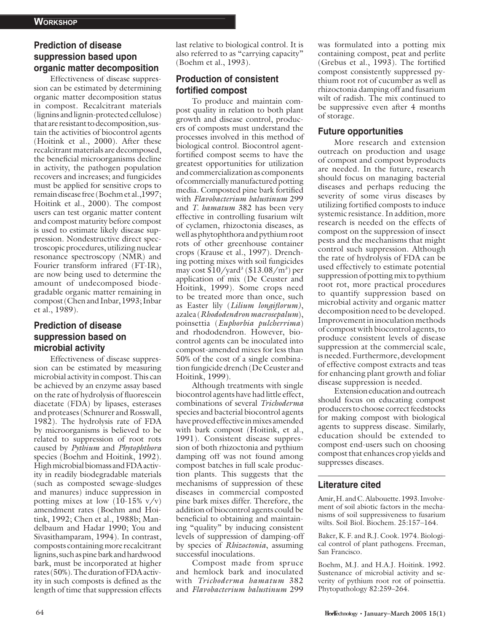# **Prediction of disease suppression based upon organic matter decomposition**

Effectiveness of disease suppression can be estimated by determining organic matter decomposition status in compost. Recalcitrant materials (lignins and lignin-protected cellulose) that are resistant to decomposition, sustain the activities of biocontrol agents (Hoitink et al., 2000). After these recalcitrant materials are decomposed, the beneficial microorganisms decline in activity, the pathogen population recovers and increases; and fungicides must be applied for sensitive crops to remain disease free (Boehm et al.,1997; Hoitink et al., 2000). The compost users can test organic matter content and compost maturity before compost is used to estimate likely disease suppression. Nondestructive direct spectroscopic procedures, utilizing nuclear resonance spectroscopy (NMR) and Fourier transform infrared (FT-IR), are now being used to determine the amount of undecomposed biodegradable organic matter remaining in compost (Chen and Inbar, 1993; Inbar et al., 1989).

## **Prediction of disease suppression based on microbial activity**

Effectiveness of disease suppression can be estimated by measuring microbial activity in compost. This can be achieved by an enzyme assay based on the rate of hydrolysis of fluorescein diacetate (FDA) by lipases, esterases and proteases (Schnurer and Rosswall, 1982). The hydrolysis rate of FDA by microorganisms is believed to be related to suppression of root rots caused by *Pythium* and *Phytophthora* species (Boehm and Hoitink, 1992). High microbial biomass and FDA activity in readily biodegradable materials (such as composted sewage-sludges and manures) induce suppression in potting mixes at low  $(10-15\% \text{ v/v})$ amendment rates (Boehm and Hoitink, 1992; Chen et al., 1988b; Mandelbaum and Hadar 1990; You and Sivasithamparam, 1994). In contrast, composts containing more recalcitrant lignins, such as pine bark and hardwood bark, must be incorporated at higher rates (50%). The duration of FDA activity in such composts is defined as the length of time that suppression effects

last relative to biological control. It is also referred to as "carrying capacity" (Boehm et al., 1993).

# **Production of consistent**  fortified compost

To produce and maintain compost quality in relation to both plant growth and disease control, producers of composts must understand the processes involved in this method of biological control. Biocontrol agentfortified compost seems to have the greatest opportunities for utilization and commercialization as components of commercially manufactured potting media. Composted pine bark fortified with *Flavobacterium balustinum* 299 and *T. hamatum* 382 has been very effective in controlling fusarium wilt of cyclamen, rhizoctonia diseases, as well as phytophthora and pythium root rots of other greenhouse container crops (Krause et al., 1997). Drenching potting mixes with soil fungicides may cost \$10/yard3 (\$13.08/m3 ) per application of mix (De Ceuster and Hoitink, 1999). Some crops need to be treated more than once, such as Easter lily *(Lilium longiflorum)*, azalea (*Rhododendron macrosepalum*), poinsettia (*Euphorbia pulcherrima*) and rhododendron. However, biocontrol agents can be inoculated into compost-amended mixes for less than 50% of the cost of a single combination fungicide drench (De Ceuster and Hoitink, 1999).

Although treatments with single biocontrol agents have had little effect, combinations of several *Trichoderma* species and bacterial biocontrol agents have proved effective in mixes amended with bark compost (Hoitink, et al., 1991). Consistent disease suppression of both rhizoctonia and pythium damping off was not found among compost batches in full scale production plants. This suggests that the mechanisms of suppression of these diseases in commercial composted pine bark mixes differ. Therefore, the addition of biocontrol agents could be beneficial to obtaining and maintaining "quality" by inducing consistent levels of suppression of damping-off by species of *Rhizoctonia*, assuming successful inoculations.

Compost made from spruce and hemlock bark and inoculated with *Trichoderma hamatum* 382 and *Flavobacterium balustinum* 299

was formulated into a potting mix containing compost, peat and perlite (Grebus et al., 1993). The fortified compost consistently suppressed pythium root rot of cucumber as well as rhizoctonia damping off and fusarium wilt of radish. The mix continued to be suppressive even after 4 months of storage.

#### **Future opportunities**

More research and extension outreach on production and usage of compost and compost byproducts are needed. In the future, research should focus on managing bacterial diseases and perhaps reducing the severity of some virus diseases by utilizing fortified composts to induce systemic resistance. In addition, more research is needed on the effects of compost on the suppression of insect pests and the mechanisms that might control such suppression. Although the rate of hydrolysis of FDA can be used effectively to estimate potential suppression of potting mix to pythium root rot, more practical procedures to quantify suppression based on microbial activity and organic matter decomposition need to be developed. Improvement in inoculation methods of compost with biocontrol agents, to produce consistent levels of disease suppression at the commercial scale, is needed. Furthermore, development of effective compost extracts and teas for enhancing plant growth and foliar disease suppression is needed.

Extension education and outreach should focus on educating compost producers to choose correct feedstocks for making compost with biological agents to suppress disease. Similarly, education should be extended to compost end-users such on choosing compost that enhances crop yields and suppresses diseases.

#### **Literature cited**

Amir, H. and C. Alabouette. 1993. Involvement of soil abiotic factors in the mechanisms of soil suppressiveness to fusarium wilts. Soil Biol. Biochem. 25:157–164.

Baker, K. F. and R.J. Cook. 1974. Biological control of plant pathogens. Freeman, San Francisco.

Boehm, M.J. and H.A.J. Hoitink. 1992. Sustenance of microbial activity and severity of pythium root rot of poinsettia. Phytopathology 82:259–264.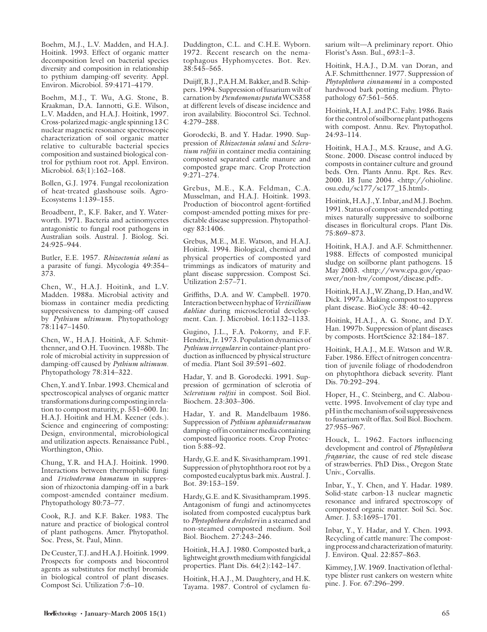Boehm, M.J., L.V. Madden, and H.A.J. Hoitink. 1993. Effect of organic matter decomposition level on bacterial species diversity and composition in relationship to pythium damping-off severity. Appl. Environ. Microbiol. 59:4171–4179.

Boehm, M.J., T. Wu, A.G. Stone, B. Kraakman, D.A. Iannotti, G.E. Wilson, L.V. Madden, and H.A.J. Hoitink, 1997. Cross-polarized magic-angle spinning 13 C nuclear magnetic resonance spectroscopic characterization of soil organic matter relative to culturable bacterial species composition and sustained biological control for pythium root rot. Appl. Environ. Microbiol. 63(1):162–168.

Bollen, G.J. 1974. Fungal recolonization of heat-treated glasshouse soils. Agro-Ecosystems 1:139–155.

Broadbent, P., K.F. Baker, and Y. Waterworth. 1971. Bacteria and actinomycetes antagonistic to fungal root pathogens in Australian soils. Austral. J. Biolog. Sci. 24:925–944.

Butler, E.E. 1957. *Rhizoctonia solani* as a parasite of fungi. Mycologia 49:354– 373.

Chen, W., H.A.J. Hoitink, and L.V. Madden. 1988a. Microbial activity and biomass in container media predicting suppressiveness to damping-off caused by *Pythium ultimum*. Phytopathology 78:1147–1450.

Chen, W., H.A.J. Hoitink, A.F. Schmitthenner, and O.H. Tuovinen. 1988b. The role of microbial activity in suppression of damping-off caused by *Pythium ultimum*. Phytopathology 78:314–322.

Chen, Y. and Y. Inbar. 1993. Chemical and spectroscopical analyses of organic matter transformations during composting in relation to compost maturity, p. 551–600. In: H.A.J. Hoitink and H.M. Keener (eds.). Science and engineering of composting: Design, environmental, microbiological and utilization aspects. Renaissance Publ., Worthington, Ohio.

Chung, Y.R. and H.A.J. Hoitink. 1990. Interactions between thermophilic fungi and *Trichoderma hamatum* in suppression of rhizoctonia damping-off in a bark compost-amended container medium. Phytopathology 80:73–77.

Cook, R.J. and K.F. Baker. 1983. The nature and practice of biological control of plant pathogens. Amer. Phytopathol. Soc. Press, St. Paul, Minn.

De Ceuster, T.J. and H.A.J. Hoitink. 1999. Prospects for composts and biocontrol agents as substitutes for methyl bromide in biological control of plant diseases. Compost Sci. Utilization 7:6–10.

Duddington, C.L. and C.H.E. Wyborn. 1972. Recent research on the nematophagous Hyphomycetes. Bot. Rev.  $38:545-565$ .

Duijff, B.J., P.A.H.M. Bakker, and B. Schippers. 1994. Suppression of fusarium wilt of carnation by *Pseudomonas putida* WCS358 at different levels of disease incidence and iron availability. Biocontrol Sci. Technol. 4:279–288.

Gorodecki, B. and Y. Hadar. 1990. Suppression of *Rhizoctonia solani* and *Sclerotium rolfsii* in container media containing composted separated cattle manure and composted grape marc. Crop Protection 9:271–274.

Grebus, M.E., K.A. Feldman, C.A. Musselman, and H.A.J. Hoitink. 1993. Production of biocontrol agent-fortified compost-amended potting mixes for predictable disease suppression. Phytopathology 83:1406.

Grebus, M.E., M.E. Watson, and H.A.J. Hoitink. 1994. Biological, chemical and physical properties of composted yard trimmings as indicators of maturity and plant disease suppression. Compost Sci. Utilization 2:57–71.

Griffiths, D.A. and W. Campbell. 1970. Interaction between hyphae of *Verticillium* dahliad during microsclerotial development. Can. J. Microbiol. 16:1132–1133.

Gugino, J.L., F.A. Pokorny, and F.F. Hendrix, Jr. 1973. Population dynamics of Pythium irregulare in container-plant production as influenced by physical structure of media. Plant Soil 39:591–602.

Hadar, Y. and B. Gorodecki. 1991. Suppression of germination of sclerotia of *Sclerotium rolfsii* in compost. Soil Biol. Biochem. 23:303–306.

Hadar, Y. and R. Mandelbaum 1986. Suppression of *Pythium aphanidermatum* damping-off in container media containing composted liquorice roots. Crop Protection 5:88–92.

Hardy, G.E. and K. Sivasithampram.1991. Suppression of phytophthora root rot by a composted eucalyptus bark mix. Austral. J. Bot. 39:153–159.

Hardy, G.E. and K. Sivasithampram.1995. Antagonism of fungi and actinomycetes isolated from composted eucalyptus bark to Phytophthora drechsleri in a steamed and non-steamed composted medium. Soil Biol. Biochem. 27:243–246.

Hoitink, H.A.J. 1980. Composted bark, a lightweight growth medium with fungicidal properties. Plant Dis. 64(2):142–147.

Hoitink, H.A.J., M. Daughtery, and H.K. Tayama. 1987. Control of cyclamen fusarium wilt—A preliminary report. Ohio Florist's Assn. Bul., 693:1–3.

Hoitink, H.A.J., D.M. van Doran, and A.F. Schmitthenner. 1977. Suppression of *Phytophthora cinnamomi* in a composted hardwood bark potting medium. Phytopathology 67:561–565.

Hoitink, H.A.J. and P.C. Fahy. 1986. Basis for the control of soilborne plant pathogens with compost. Annu. Rev. Phytopathol. 24:93–114.

Hoitink, H.A.J., M.S. Krause, and A.G. Stone. 2000. Disease control induced by composts in container culture and ground beds. Orn. Plants Annu. Rpt. Res. Rev. 2000. 18 June 2004. <http://ohioline. osu.edu/sc177/sc177\_15.html>.

Hoitink, H.A.J., Y. Inbar, and M.J. Boehm. 1991. Status of compost-amended potting mixes naturally suppressive to soilborne diseases in floricultural crops. Plant Dis. 75:869–873.

Hoitink, H.A.J. and A.F. Schmitthenner. 1988. Effects of composted municipal sludge on soilborne plant pathogens. 15 May 2003. <http://www.epa.gov/epaoswer/non-hw/compost/disease.pdf>.

Hoitink, H.A.J., W. Zhang, D. Han, and W. Dick. 1997a. Making compost to suppress plant disease. BioCycle 38: 40–42.

Hoitink, H.A.J., A. G. Stone, and D.Y. Han. 1997b. Suppression of plant diseases by composts. HortScience 32:184–187.

Hoitink, H.A.J., M.E. Watson and W.R. Faber. 1986. Effect of nitrogen concentration of juvenile foliage of rhododendron on phytophthora dieback severity. Plant Dis. 70:292–294.

Hoper, H., C. Steinberg, and C. Alabouvette. 1995. Involvement of clay type and pH in the mechanism of soil suppressiveness to fusarium wilt of flax. Soil Biol. Biochem. 27:955–967.

Houck, L. 1962. Factors influencing development and control of *Phytophthora fragariae*, the cause of red stele disease of strawberries. PhD Diss., Oregon State Univ., Corvallis.

Inbar, Y., Y. Chen, and Y. Hadar. 1989. Solid-state carbon-13 nuclear magnetic resonance and infrared spectroscopy of composted organic matter. Soil Sci. Soc. Amer. J. 53:1695–1701.

Inbar, Y., Y. Hadar, and Y. Chen. 1993. Recycling of cattle manure: The composting process and characterization of maturity. J. Environ. Qual. 22:857–863.

Kimmey, J.W. 1969. Inactivation of lethaltype blister rust cankers on western white pine. J. For. 67:296–299.